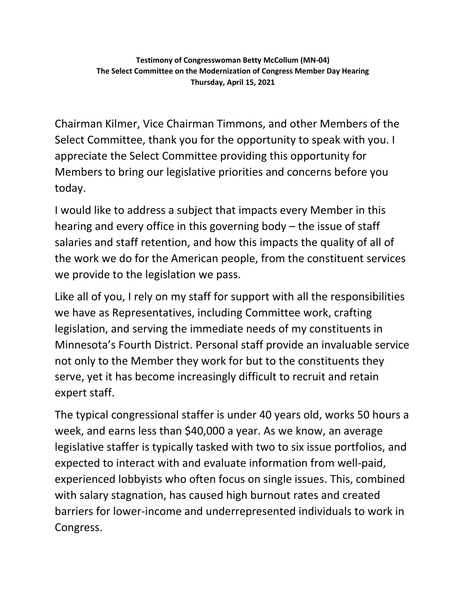Chairman Kilmer, Vice Chairman Timmons, and other Members of the Select Committee, thank you for the opportunity to speak with you. I appreciate the Select Committee providing this opportunity for Members to bring our legislative priorities and concerns before you today.

I would like to address a subject that impacts every Member in this hearing and every office in this governing body – the issue of staff salaries and staff retention, and how this impacts the quality of all of the work we do for the American people, from the constituent services we provide to the legislation we pass.

Like all of you, I rely on my staff for support with all the responsibilities we have as Representatives, including Committee work, crafting legislation, and serving the immediate needs of my constituents in Minnesota's Fourth District. Personal staff provide an invaluable service not only to the Member they work for but to the constituents they serve, yet it has become increasingly difficult to recruit and retain expert staff.

The typical congressional staffer is under 40 years old, works 50 hours a week, and earns less than \$40,000 a year. As we know, an average legislative staffer is typically tasked with two to six issue portfolios, and expected to interact with and evaluate information from well-paid, experienced lobbyists who often focus on single issues. This, combined with salary stagnation, has caused high burnout rates and created barriers for lower-income and underrepresented individuals to work in Congress.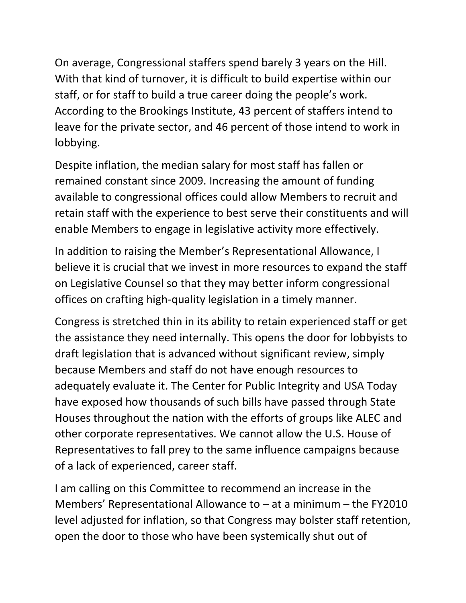On average, Congressional staffers spend barely 3 years on the Hill. With that kind of turnover, it is difficult to build expertise within our staff, or for staff to build a true career doing the people's work. According to the Brookings Institute, 43 percent of staffers intend to leave for the private sector, and 46 percent of those intend to work in lobbying.

Despite inflation, the median salary for most staff has fallen or remained constant since 2009. Increasing the amount of funding available to congressional offices could allow Members to recruit and retain staff with the experience to best serve their constituents and will enable Members to engage in legislative activity more effectively.

In addition to raising the Member's Representational Allowance, I believe it is crucial that we invest in more resources to expand the staff on Legislative Counsel so that they may better inform congressional offices on crafting high-quality legislation in a timely manner.

Congress is stretched thin in its ability to retain experienced staff or get the assistance they need internally. This opens the door for lobbyists to draft legislation that is advanced without significant review, simply because Members and staff do not have enough resources to adequately evaluate it. The Center for Public Integrity and USA Today have exposed how thousands of such bills have passed through State Houses throughout the nation with the efforts of groups like ALEC and other corporate representatives. We cannot allow the U.S. House of Representatives to fall prey to the same influence campaigns because of a lack of experienced, career staff.

I am calling on this Committee to recommend an increase in the Members' Representational Allowance to – at a minimum – the FY2010 level adjusted for inflation, so that Congress may bolster staff retention, open the door to those who have been systemically shut out of